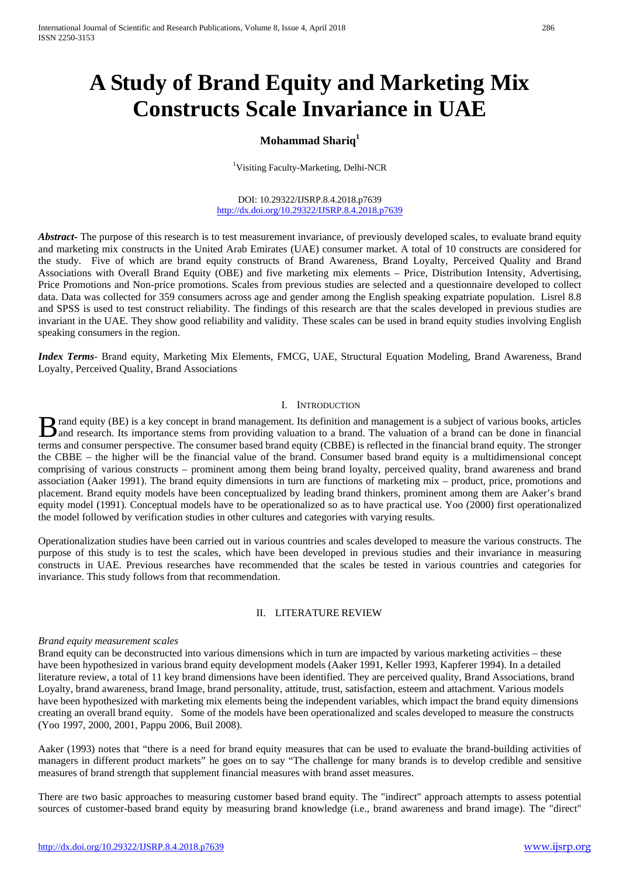# **A Study of Brand Equity and Marketing Mix Constructs Scale Invariance in UAE**

## **Mohammad Shariq<sup>1</sup>**

<sup>1</sup>Visiting Faculty-Marketing, Delhi-NCR

DOI: 10.29322/IJSRP.8.4.2018.p7639 <http://dx.doi.org/10.29322/IJSRP.8.4.2018.p7639>

Abstract<sub>r</sub> The purpose of this research is to test measurement invariance, of previously developed scales, to evaluate brand equity and marketing mix constructs in the United Arab Emirates (UAE) consumer market. A total of 10 constructs are considered for the study. Five of which are brand equity constructs of Brand Awareness, Brand Loyalty, Perceived Quality and Brand Associations with Overall Brand Equity (OBE) and five marketing mix elements – Price, Distribution Intensity, Advertising, Price Promotions and Non-price promotions. Scales from previous studies are selected and a questionnaire developed to collect data. Data was collected for 359 consumers across age and gender among the English speaking expatriate population. Lisrel 8.8 and SPSS is used to test construct reliability. The findings of this research are that the scales developed in previous studies are invariant in the UAE. They show good reliability and validity. These scales can be used in brand equity studies involving English speaking consumers in the region.

*Index Terms*- Brand equity, Marketing Mix Elements, FMCG, UAE, Structural Equation Modeling, Brand Awareness, Brand Loyalty, Perceived Quality, Brand Associations

## I. INTRODUCTION

rand equity (BE) is a key concept in brand management. Its definition and management is a subject of various books, articles **B** rand equity (BE) is a key concept in brand management. Its definition and management is a subject of various books, articles and research. Its importance stems from providing valuation to a brand. The valuation of a br terms and consumer perspective. The consumer based brand equity (CBBE) is reflected in the financial brand equity. The stronger the CBBE – the higher will be the financial value of the brand. Consumer based brand equity is a multidimensional concept comprising of various constructs – prominent among them being brand loyalty, perceived quality, brand awareness and brand association (Aaker 1991). The brand equity dimensions in turn are functions of marketing mix – product, price, promotions and placement. Brand equity models have been conceptualized by leading brand thinkers, prominent among them are Aaker's brand equity model (1991). Conceptual models have to be operationalized so as to have practical use. Yoo (2000) first operationalized the model followed by verification studies in other cultures and categories with varying results.

Operationalization studies have been carried out in various countries and scales developed to measure the various constructs. The purpose of this study is to test the scales, which have been developed in previous studies and their invariance in measuring constructs in UAE. Previous researches have recommended that the scales be tested in various countries and categories for invariance. This study follows from that recommendation.

#### II. LITERATURE REVIEW

## *Brand equity measurement scales*

Brand equity can be deconstructed into various dimensions which in turn are impacted by various marketing activities – these have been hypothesized in various brand equity development models (Aaker 1991, Keller 1993, Kapferer 1994). In a detailed literature review, a total of 11 key brand dimensions have been identified. They are perceived quality, Brand Associations, brand Loyalty, brand awareness, brand Image, brand personality, attitude, trust, satisfaction, esteem and attachment. Various models have been hypothesized with marketing mix elements being the independent variables, which impact the brand equity dimensions creating an overall brand equity. Some of the models have been operationalized and scales developed to measure the constructs (Yoo 1997, 2000, 2001, Pappu 2006, Buil 2008).

Aaker (1993) notes that "there is a need for brand equity measures that can be used to evaluate the brand-building activities of managers in different product markets" he goes on to say "The challenge for many brands is to develop credible and sensitive measures of brand strength that supplement financial measures with brand asset measures.

There are two basic approaches to measuring customer based brand equity. The "indirect" approach attempts to assess potential sources of customer-based brand equity by measuring brand knowledge (i.e., brand awareness and brand image). The "direct"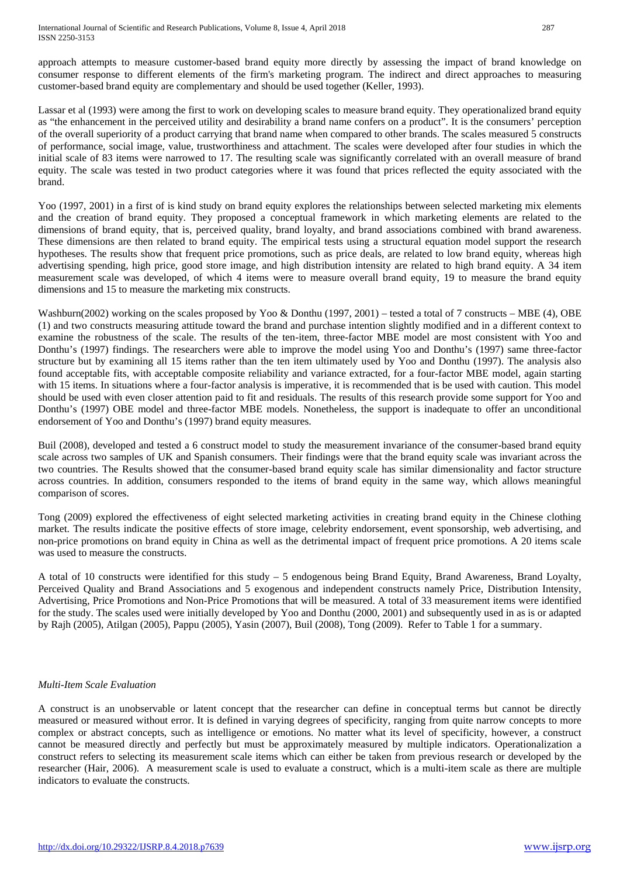approach attempts to measure customer-based brand equity more directly by assessing the impact of brand knowledge on consumer response to different elements of the firm's marketing program. The indirect and direct approaches to measuring customer-based brand equity are complementary and should be used together (Keller, 1993).

Lassar et al (1993) were among the first to work on developing scales to measure brand equity. They operationalized brand equity as "the enhancement in the perceived utility and desirability a brand name confers on a product". It is the consumers' perception of the overall superiority of a product carrying that brand name when compared to other brands. The scales measured 5 constructs of performance, social image, value, trustworthiness and attachment. The scales were developed after four studies in which the initial scale of 83 items were narrowed to 17. The resulting scale was significantly correlated with an overall measure of brand equity. The scale was tested in two product categories where it was found that prices reflected the equity associated with the brand.

Yoo (1997, 2001) in a first of is kind study on brand equity explores the relationships between selected marketing mix elements and the creation of brand equity. They proposed a conceptual framework in which marketing elements are related to the dimensions of brand equity, that is, perceived quality, brand loyalty, and brand associations combined with brand awareness. These dimensions are then related to brand equity. The empirical tests using a structural equation model support the research hypotheses. The results show that frequent price promotions, such as price deals, are related to low brand equity, whereas high advertising spending, high price, good store image, and high distribution intensity are related to high brand equity. A 34 item measurement scale was developed, of which 4 items were to measure overall brand equity, 19 to measure the brand equity dimensions and 15 to measure the marketing mix constructs.

Washburn(2002) working on the scales proposed by Yoo & Donthu (1997, 2001) – tested a total of 7 constructs – MBE (4), OBE (1) and two constructs measuring attitude toward the brand and purchase intention slightly modified and in a different context to examine the robustness of the scale. The results of the ten-item, three-factor MBE model are most consistent with Yoo and Donthu's (1997) findings. The researchers were able to improve the model using Yoo and Donthu's (1997) same three-factor structure but by examining all 15 items rather than the ten item ultimately used by Yoo and Donthu (1997). The analysis also found acceptable fits, with acceptable composite reliability and variance extracted, for a four-factor MBE model, again starting with 15 items. In situations where a four-factor analysis is imperative, it is recommended that is be used with caution. This model should be used with even closer attention paid to fit and residuals. The results of this research provide some support for Yoo and Donthu's (1997) OBE model and three-factor MBE models. Nonetheless, the support is inadequate to offer an unconditional endorsement of Yoo and Donthu's (1997) brand equity measures.

Buil (2008), developed and tested a 6 construct model to study the measurement invariance of the consumer-based brand equity scale across two samples of UK and Spanish consumers. Their findings were that the brand equity scale was invariant across the two countries. The Results showed that the consumer-based brand equity scale has similar dimensionality and factor structure across countries. In addition, consumers responded to the items of brand equity in the same way, which allows meaningful comparison of scores.

Tong (2009) explored the effectiveness of eight selected marketing activities in creating brand equity in the Chinese clothing market. The results indicate the positive effects of store image, celebrity endorsement, event sponsorship, web advertising, and non-price promotions on brand equity in China as well as the detrimental impact of frequent price promotions. A 20 items scale was used to measure the constructs.

A total of 10 constructs were identified for this study – 5 endogenous being Brand Equity, Brand Awareness, Brand Loyalty, Perceived Quality and Brand Associations and 5 exogenous and independent constructs namely Price, Distribution Intensity, Advertising, Price Promotions and Non-Price Promotions that will be measured. A total of 33 measurement items were identified for the study. The scales used were initially developed by Yoo and Donthu (2000, 2001) and subsequently used in as is or adapted by Rajh (2005), Atilgan (2005), Pappu (2005), Yasin (2007), Buil (2008), Tong (2009). Refer to Table 1 for a summary.

## *Multi-Item Scale Evaluation*

A construct is an unobservable or latent concept that the researcher can define in conceptual terms but cannot be directly measured or measured without error. It is defined in varying degrees of specificity, ranging from quite narrow concepts to more complex or abstract concepts, such as intelligence or emotions. No matter what its level of specificity, however, a construct cannot be measured directly and perfectly but must be approximately measured by multiple indicators. Operationalization a construct refers to selecting its measurement scale items which can either be taken from previous research or developed by the researcher (Hair, 2006). A measurement scale is used to evaluate a construct, which is a multi-item scale as there are multiple indicators to evaluate the constructs.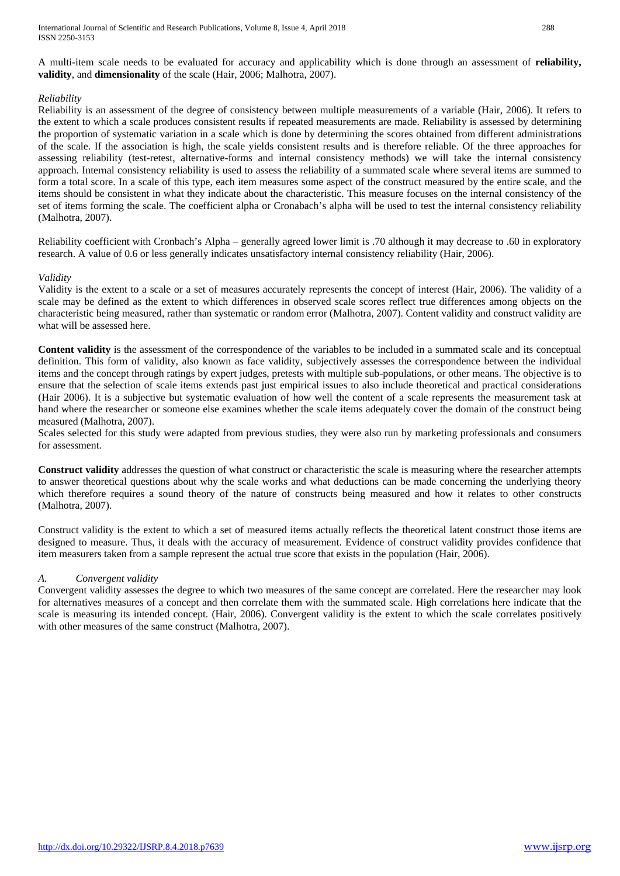A multi-item scale needs to be evaluated for accuracy and applicability which is done through an assessment of **reliability, validity**, and **dimensionality** of the scale (Hair, 2006; Malhotra, 2007).

## *Reliability*

Reliability is an assessment of the degree of consistency between multiple measurements of a variable (Hair, 2006). It refers to the extent to which a scale produces consistent results if repeated measurements are made. Reliability is assessed by determining the proportion of systematic variation in a scale which is done by determining the scores obtained from different administrations of the scale. If the association is high, the scale yields consistent results and is therefore reliable. Of the three approaches for assessing reliability (test-retest, alternative-forms and internal consistency methods) we will take the internal consistency approach. Internal consistency reliability is used to assess the reliability of a summated scale where several items are summed to form a total score. In a scale of this type, each item measures some aspect of the construct measured by the entire scale, and the items should be consistent in what they indicate about the characteristic. This measure focuses on the internal consistency of the set of items forming the scale. The coefficient alpha or Cronabach's alpha will be used to test the internal consistency reliability (Malhotra, 2007).

Reliability coefficient with Cronbach's Alpha – generally agreed lower limit is .70 although it may decrease to .60 in exploratory research. A value of 0.6 or less generally indicates unsatisfactory internal consistency reliability (Hair, 2006).

## *Validity*

Validity is the extent to a scale or a set of measures accurately represents the concept of interest (Hair, 2006). The validity of a scale may be defined as the extent to which differences in observed scale scores reflect true differences among objects on the characteristic being measured, rather than systematic or random error (Malhotra, 2007). Content validity and construct validity are what will be assessed here.

**Content validity** is the assessment of the correspondence of the variables to be included in a summated scale and its conceptual definition. This form of validity, also known as face validity, subjectively assesses the correspondence between the individual items and the concept through ratings by expert judges, pretests with multiple sub-populations, or other means. The objective is to ensure that the selection of scale items extends past just empirical issues to also include theoretical and practical considerations (Hair 2006). It is a subjective but systematic evaluation of how well the content of a scale represents the measurement task at hand where the researcher or someone else examines whether the scale items adequately cover the domain of the construct being measured (Malhotra, 2007).

Scales selected for this study were adapted from previous studies, they were also run by marketing professionals and consumers for assessment.

**Construct validity** addresses the question of what construct or characteristic the scale is measuring where the researcher attempts to answer theoretical questions about why the scale works and what deductions can be made concerning the underlying theory which therefore requires a sound theory of the nature of constructs being measured and how it relates to other constructs (Malhotra, 2007).

Construct validity is the extent to which a set of measured items actually reflects the theoretical latent construct those items are designed to measure. Thus, it deals with the accuracy of measurement. Evidence of construct validity provides confidence that item measurers taken from a sample represent the actual true score that exists in the population (Hair, 2006).

## *A. Convergent validity*

Convergent validity assesses the degree to which two measures of the same concept are correlated. Here the researcher may look for alternatives measures of a concept and then correlate them with the summated scale. High correlations here indicate that the scale is measuring its intended concept. (Hair, 2006). Convergent validity is the extent to which the scale correlates positively with other measures of the same construct (Malhotra, 2007).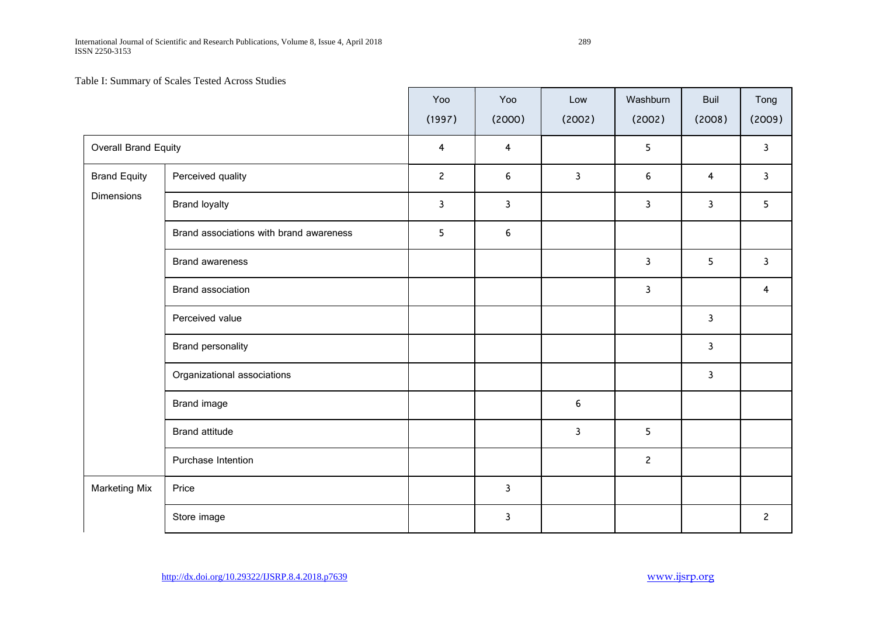International Journal of Scientific and Research Publications, Volume 8, Issue 4, April 2018 289 ISSN 2250-3153

Table I: Summary of Scales Tested Across Studies

|                      |                                         | Yoo<br>(1997)  | Yoo<br>(2000)  | Low<br>(2002)    | Washburn<br>(2002) | <b>Buil</b><br>(2008) | Tong<br>(2009) |
|----------------------|-----------------------------------------|----------------|----------------|------------------|--------------------|-----------------------|----------------|
|                      | Overall Brand Equity                    |                | $\overline{4}$ |                  | 5                  |                       | 3              |
| <b>Brand Equity</b>  | Perceived quality                       | $\overline{2}$ | 6              | $\mathbf{3}$     | 6                  | 4                     | $\mathbf{3}$   |
| <b>Dimensions</b>    | <b>Brand loyalty</b>                    | 3              | 3              |                  | 3                  | 3                     | 5              |
|                      | Brand associations with brand awareness | 5              | 6              |                  |                    |                       |                |
|                      | <b>Brand awareness</b>                  |                |                |                  | 3                  | 5                     | $\mathbf{3}$   |
|                      | Brand association                       |                |                |                  | 3                  |                       | 4              |
|                      | Perceived value                         |                |                |                  |                    | 3                     |                |
|                      | Brand personality                       |                |                |                  |                    | $\mathbf{3}$          |                |
|                      | Organizational associations             |                |                |                  |                    | $\mathsf{3}$          |                |
|                      | Brand image                             |                |                | $\boldsymbol{6}$ |                    |                       |                |
|                      | <b>Brand attitude</b>                   |                |                | $\mathbf{3}$     | 5                  |                       |                |
|                      | Purchase Intention                      |                |                |                  | $\overline{c}$     |                       |                |
| <b>Marketing Mix</b> | Price                                   |                | 3              |                  |                    |                       |                |
|                      | Store image                             |                | 3              |                  |                    |                       | $\overline{c}$ |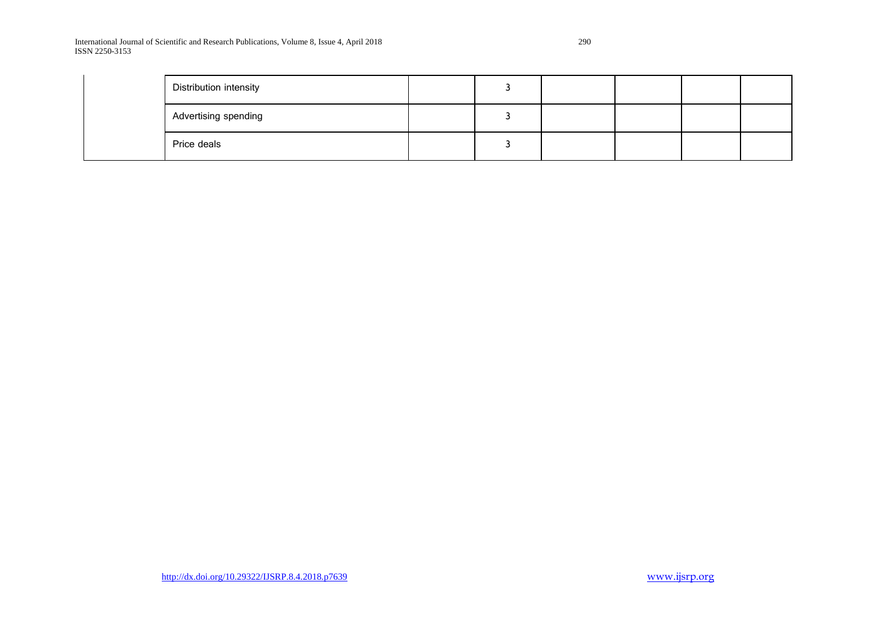International Journal of Scientific and Research Publications, Volume 8, Issue 4, April 2018 290 ISSN 2250-3153

| Distribution intensity |  |  |  |
|------------------------|--|--|--|
| Advertising spending   |  |  |  |
| Price deals            |  |  |  |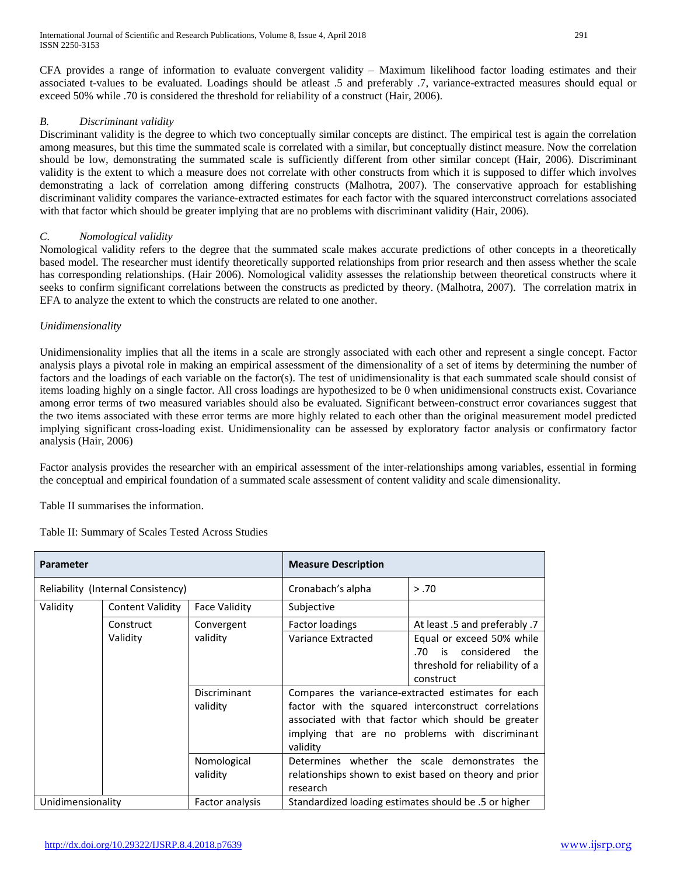CFA provides a range of information to evaluate convergent validity – Maximum likelihood factor loading estimates and their associated t-values to be evaluated. Loadings should be atleast .5 and preferably .7, variance-extracted measures should equal or exceed 50% while .70 is considered the threshold for reliability of a construct (Hair, 2006).

## *B. Discriminant validity*

Discriminant validity is the degree to which two conceptually similar concepts are distinct. The empirical test is again the correlation among measures, but this time the summated scale is correlated with a similar, but conceptually distinct measure. Now the correlation should be low, demonstrating the summated scale is sufficiently different from other similar concept (Hair, 2006). Discriminant validity is the extent to which a measure does not correlate with other constructs from which it is supposed to differ which involves demonstrating a lack of correlation among differing constructs (Malhotra, 2007). The conservative approach for establishing discriminant validity compares the variance-extracted estimates for each factor with the squared interconstruct correlations associated with that factor which should be greater implying that are no problems with discriminant validity (Hair, 2006).

## *C. Nomological validity*

Nomological validity refers to the degree that the summated scale makes accurate predictions of other concepts in a theoretically based model. The researcher must identify theoretically supported relationships from prior research and then assess whether the scale has corresponding relationships. (Hair 2006). Nomological validity assesses the relationship between theoretical constructs where it seeks to confirm significant correlations between the constructs as predicted by theory. (Malhotra, 2007). The correlation matrix in EFA to analyze the extent to which the constructs are related to one another.

## *Unidimensionality*

Unidimensionality implies that all the items in a scale are strongly associated with each other and represent a single concept. Factor analysis plays a pivotal role in making an empirical assessment of the dimensionality of a set of items by determining the number of factors and the loadings of each variable on the factor(s). The test of unidimensionality is that each summated scale should consist of items loading highly on a single factor. All cross loadings are hypothesized to be 0 when unidimensional constructs exist. Covariance among error terms of two measured variables should also be evaluated. Significant between-construct error covariances suggest that the two items associated with these error terms are more highly related to each other than the original measurement model predicted implying significant cross-loading exist. Unidimensionality can be assessed by exploratory factor analysis or confirmatory factor analysis (Hair, 2006)

Factor analysis provides the researcher with an empirical assessment of the inter-relationships among variables, essential in forming the conceptual and empirical foundation of a summated scale assessment of content validity and scale dimensionality.

Table II summarises the information.

Table II: Summary of Scales Tested Across Studies

| <b>Parameter</b>                   |                         |                          | <b>Measure Description</b>                                                                                                                                                                                                      |                                                                                                            |  |  |  |  |
|------------------------------------|-------------------------|--------------------------|---------------------------------------------------------------------------------------------------------------------------------------------------------------------------------------------------------------------------------|------------------------------------------------------------------------------------------------------------|--|--|--|--|
| Reliability (Internal Consistency) |                         |                          | Cronabach's alpha                                                                                                                                                                                                               | > .70                                                                                                      |  |  |  |  |
| Validity                           | <b>Content Validity</b> | <b>Face Validity</b>     | Subjective                                                                                                                                                                                                                      |                                                                                                            |  |  |  |  |
|                                    | Construct               | Convergent               | Factor loadings                                                                                                                                                                                                                 | At least .5 and preferably .7                                                                              |  |  |  |  |
|                                    | Validity                | validity                 | Variance Extracted                                                                                                                                                                                                              | Equal or exceed 50% while<br>considered<br>is<br>the<br>.70<br>threshold for reliability of a<br>construct |  |  |  |  |
|                                    |                         | Discriminant<br>validity | Compares the variance-extracted estimates for each<br>factor with the squared interconstruct correlations<br>associated with that factor which should be greater<br>implying that are no problems with discriminant<br>validity |                                                                                                            |  |  |  |  |
|                                    |                         | Nomological<br>validity  | Determines whether the scale demonstrates the<br>relationships shown to exist based on theory and prior<br>research                                                                                                             |                                                                                                            |  |  |  |  |
| Unidimensionality                  |                         | Factor analysis          | Standardized loading estimates should be .5 or higher                                                                                                                                                                           |                                                                                                            |  |  |  |  |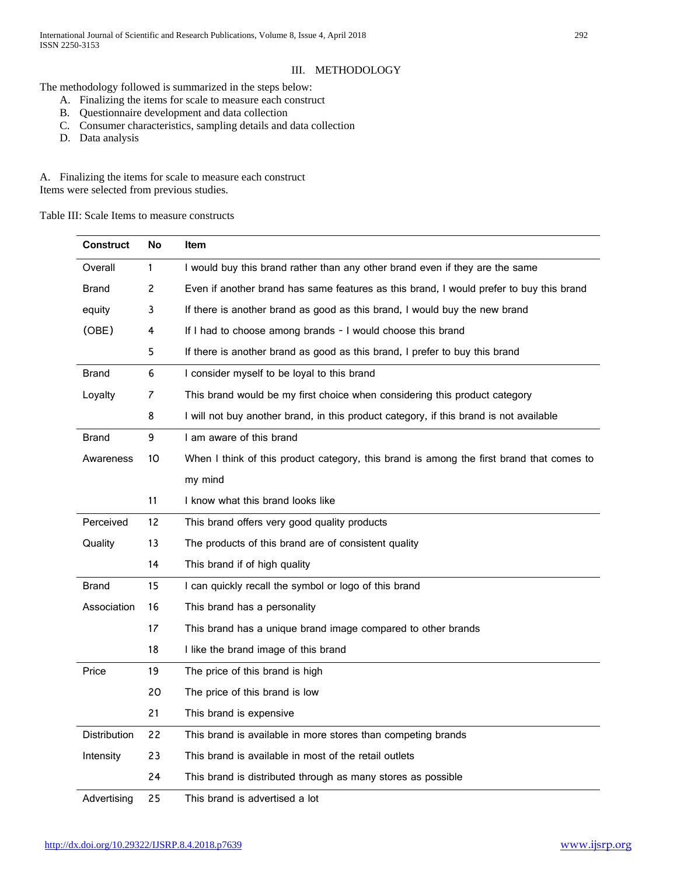The methodology followed is summarized in the steps below:

- A. Finalizing the items for scale to measure each construct
- B. Questionnaire development and data collection
- C. Consumer characteristics, sampling details and data collection
- D. Data analysis

A. Finalizing the items for scale to measure each construct Items were selected from previous studies.

Table III: Scale Items to measure constructs

| <b>Construct</b>    | No           | Item                                                                                     |
|---------------------|--------------|------------------------------------------------------------------------------------------|
| Overall             | $\mathbf{1}$ | I would buy this brand rather than any other brand even if they are the same             |
| <b>Brand</b>        | 2            | Even if another brand has same features as this brand, I would prefer to buy this brand  |
| equity              | 3            | If there is another brand as good as this brand, I would buy the new brand               |
| (OBE)               | 4            | If I had to choose among brands - I would choose this brand                              |
|                     | 5            | If there is another brand as good as this brand, I prefer to buy this brand              |
| <b>Brand</b>        | 6            | I consider myself to be loyal to this brand                                              |
| Loyalty             | 7            | This brand would be my first choice when considering this product category               |
|                     | 8            | I will not buy another brand, in this product category, if this brand is not available   |
| <b>Brand</b>        | 9            | I am aware of this brand                                                                 |
| Awareness           | 10           | When I think of this product category, this brand is among the first brand that comes to |
|                     |              | my mind                                                                                  |
|                     | 11           | I know what this brand looks like                                                        |
| Perceived           | 12           | This brand offers very good quality products                                             |
| Quality             | 13           | The products of this brand are of consistent quality                                     |
|                     | 14           | This brand if of high quality                                                            |
| <b>Brand</b>        | 15           | I can quickly recall the symbol or logo of this brand                                    |
| Association         | 16           | This brand has a personality                                                             |
|                     | 17           | This brand has a unique brand image compared to other brands                             |
|                     | 18           | I like the brand image of this brand                                                     |
| Price               | 19           | The price of this brand is high                                                          |
|                     | 20           | The price of this brand is low                                                           |
|                     | 21           | This brand is expensive                                                                  |
| <b>Distribution</b> | 22           | This brand is available in more stores than competing brands                             |
| Intensity           | 23           | This brand is available in most of the retail outlets                                    |
|                     | 24           | This brand is distributed through as many stores as possible                             |
| Advertising         | 25           | This brand is advertised a lot                                                           |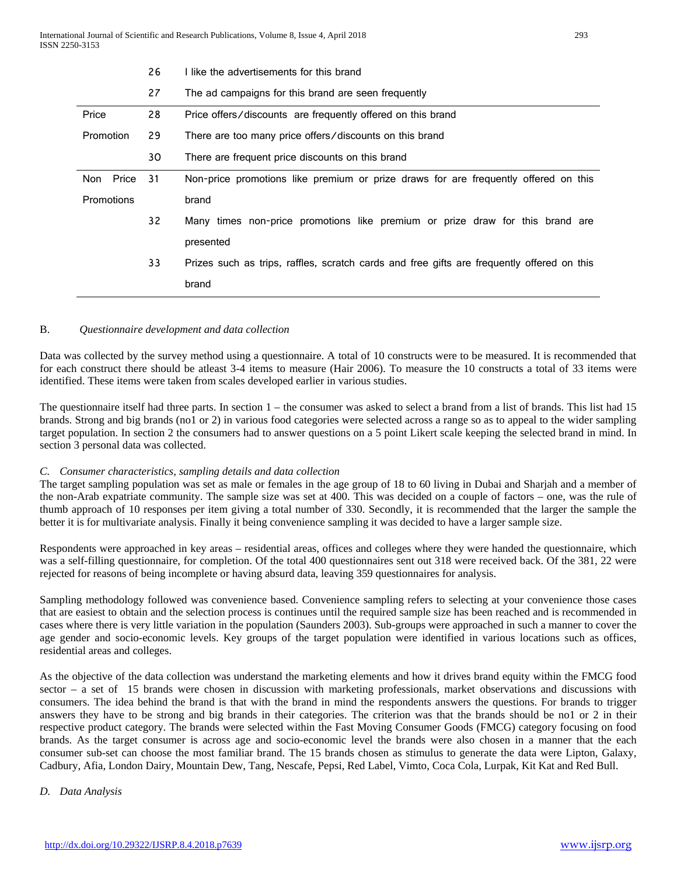|                   | 26  | I like the advertisements for this brand                                                   |  |  |  |  |  |  |  |
|-------------------|-----|--------------------------------------------------------------------------------------------|--|--|--|--|--|--|--|
|                   | 27  | The ad campaigns for this brand are seen frequently                                        |  |  |  |  |  |  |  |
| Price             | 28  | Price offers/discounts are frequently offered on this brand                                |  |  |  |  |  |  |  |
| Promotion         | 29  | There are too many price offers/discounts on this brand                                    |  |  |  |  |  |  |  |
|                   | 30  | There are frequent price discounts on this brand                                           |  |  |  |  |  |  |  |
| Non Price         | -31 | Non-price promotions like premium or prize draws for are frequently offered on this        |  |  |  |  |  |  |  |
| <b>Promotions</b> |     | brand                                                                                      |  |  |  |  |  |  |  |
|                   | 32  | Many times non-price promotions like premium or prize draw for this brand are              |  |  |  |  |  |  |  |
|                   |     | presented                                                                                  |  |  |  |  |  |  |  |
|                   | 33  | Prizes such as trips, raffles, scratch cards and free gifts are frequently offered on this |  |  |  |  |  |  |  |
|                   |     | brand                                                                                      |  |  |  |  |  |  |  |

#### B. *Questionnaire development and data collection*

Data was collected by the survey method using a questionnaire. A total of 10 constructs were to be measured. It is recommended that for each construct there should be atleast 3-4 items to measure (Hair 2006). To measure the 10 constructs a total of 33 items were identified. These items were taken from scales developed earlier in various studies.

The questionnaire itself had three parts. In section 1 – the consumer was asked to select a brand from a list of brands. This list had 15 brands. Strong and big brands (no1 or 2) in various food categories were selected across a range so as to appeal to the wider sampling target population. In section 2 the consumers had to answer questions on a 5 point Likert scale keeping the selected brand in mind. In section 3 personal data was collected.

## *C. Consumer characteristics, sampling details and data collection*

The target sampling population was set as male or females in the age group of 18 to 60 living in Dubai and Sharjah and a member of the non-Arab expatriate community. The sample size was set at 400. This was decided on a couple of factors – one, was the rule of thumb approach of 10 responses per item giving a total number of 330. Secondly, it is recommended that the larger the sample the better it is for multivariate analysis. Finally it being convenience sampling it was decided to have a larger sample size.

Respondents were approached in key areas – residential areas, offices and colleges where they were handed the questionnaire, which was a self-filling questionnaire, for completion. Of the total 400 questionnaires sent out 318 were received back. Of the 381, 22 were rejected for reasons of being incomplete or having absurd data, leaving 359 questionnaires for analysis.

Sampling methodology followed was convenience based. Convenience sampling refers to selecting at your convenience those cases that are easiest to obtain and the selection process is continues until the required sample size has been reached and is recommended in cases where there is very little variation in the population (Saunders 2003). Sub-groups were approached in such a manner to cover the age gender and socio-economic levels. Key groups of the target population were identified in various locations such as offices, residential areas and colleges.

As the objective of the data collection was understand the marketing elements and how it drives brand equity within the FMCG food sector – a set of 15 brands were chosen in discussion with marketing professionals, market observations and discussions with consumers. The idea behind the brand is that with the brand in mind the respondents answers the questions. For brands to trigger answers they have to be strong and big brands in their categories. The criterion was that the brands should be no1 or 2 in their respective product category. The brands were selected within the Fast Moving Consumer Goods (FMCG) category focusing on food brands. As the target consumer is across age and socio-economic level the brands were also chosen in a manner that the each consumer sub-set can choose the most familiar brand. The 15 brands chosen as stimulus to generate the data were Lipton, Galaxy, Cadbury, Afia, London Dairy, Mountain Dew, Tang, Nescafe, Pepsi, Red Label, Vimto, Coca Cola, Lurpak, Kit Kat and Red Bull.

#### *D. Data Analysis*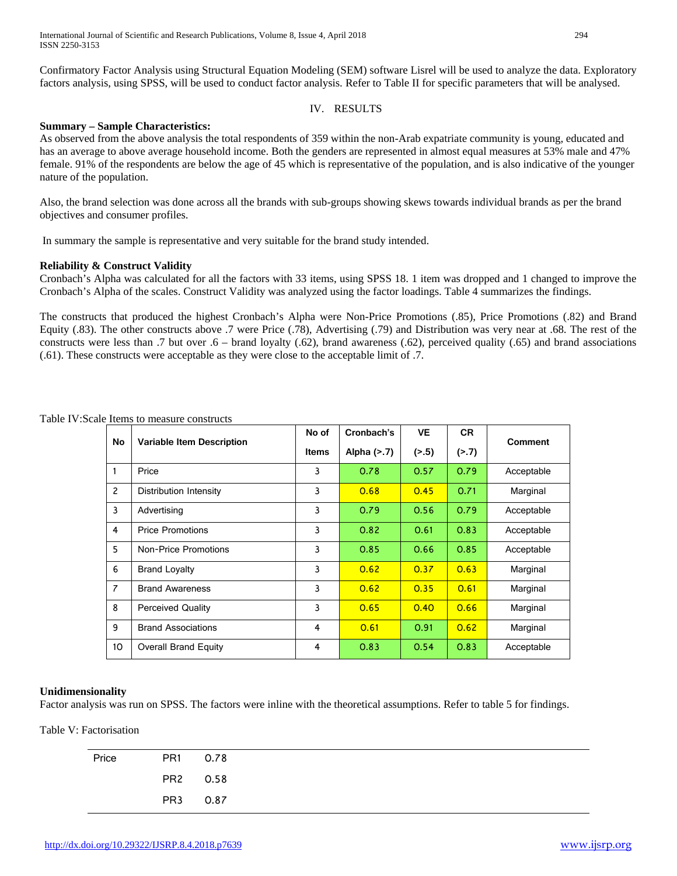Confirmatory Factor Analysis using Structural Equation Modeling (SEM) software Lisrel will be used to analyze the data. Exploratory factors analysis, using SPSS, will be used to conduct factor analysis. Refer to Table II for specific parameters that will be analysed.

## IV. RESULTS

## **Summary – Sample Characteristics:**

As observed from the above analysis the total respondents of 359 within the non-Arab expatriate community is young, educated and has an average to above average household income. Both the genders are represented in almost equal measures at 53% male and 47% female. 91% of the respondents are below the age of 45 which is representative of the population, and is also indicative of the younger nature of the population.

Also, the brand selection was done across all the brands with sub-groups showing skews towards individual brands as per the brand objectives and consumer profiles.

In summary the sample is representative and very suitable for the brand study intended.

## **Reliability & Construct Validity**

Cronbach's Alpha was calculated for all the factors with 33 items, using SPSS 18. 1 item was dropped and 1 changed to improve the Cronbach's Alpha of the scales. Construct Validity was analyzed using the factor loadings. Table 4 summarizes the findings.

The constructs that produced the highest Cronbach's Alpha were Non-Price Promotions (.85), Price Promotions (.82) and Brand Equity (.83). The other constructs above .7 were Price (.78), Advertising (.79) and Distribution was very near at .68. The rest of the constructs were less than .7 but over .6 – brand loyalty (.62), brand awareness (.62), perceived quality (.65) and brand associations (.61). These constructs were acceptable as they were close to the acceptable limit of .7.

| No             | <b>Variable Item Description</b> | No of | Cronbach's     | <b>VE</b> | <b>CR</b> | <b>Comment</b> |  |
|----------------|----------------------------------|-------|----------------|-----------|-----------|----------------|--|
|                |                                  | Items | Alpha $($ >.7) | ( > .5)   | (2.7)     |                |  |
| 1              | Price                            | 3     | 0.78           | 0.57      | 0.79      | Acceptable     |  |
| $\overline{c}$ | Distribution Intensity           | 3     | 0.68           | 0.45      | 0.71      | Marginal       |  |
| 3              | Advertising                      | 3     | 0.79           | 0.56      | 0.79      | Acceptable     |  |
| $\overline{4}$ | <b>Price Promotions</b>          | 3     | 0.82           | 0.61      | 0.83      | Acceptable     |  |
| 5              | Non-Price Promotions             | 3     | 0.85           | 0.66      | 0.85      | Acceptable     |  |
| 6              | <b>Brand Loyalty</b>             | 3     | 0.62           | 0.37      | 0.63      | Marginal       |  |
| $\overline{7}$ | <b>Brand Awareness</b>           | 3     | 0.62           | 0.35      | 0.61      | Marginal       |  |
| 8              | <b>Perceived Quality</b>         | 3     | 0.65           | 0.40      | 0.66      | Marginal       |  |
| 9              | <b>Brand Associations</b>        | 4     | 0.61           | 0.91      | 0.62      | Marginal       |  |
| 10             | <b>Overall Brand Equity</b>      | 4     | 0.83           | 0.54      | 0.83      | Acceptable     |  |

Table IV:Scale Items to measure constructs

#### **Unidimensionality**

Factor analysis was run on SPSS. The factors were inline with the theoretical assumptions. Refer to table 5 for findings.

Table V: Factorisation

| Price | PR1 0.78 |
|-------|----------|
|       | PR2 0.58 |
|       | PR3 0.87 |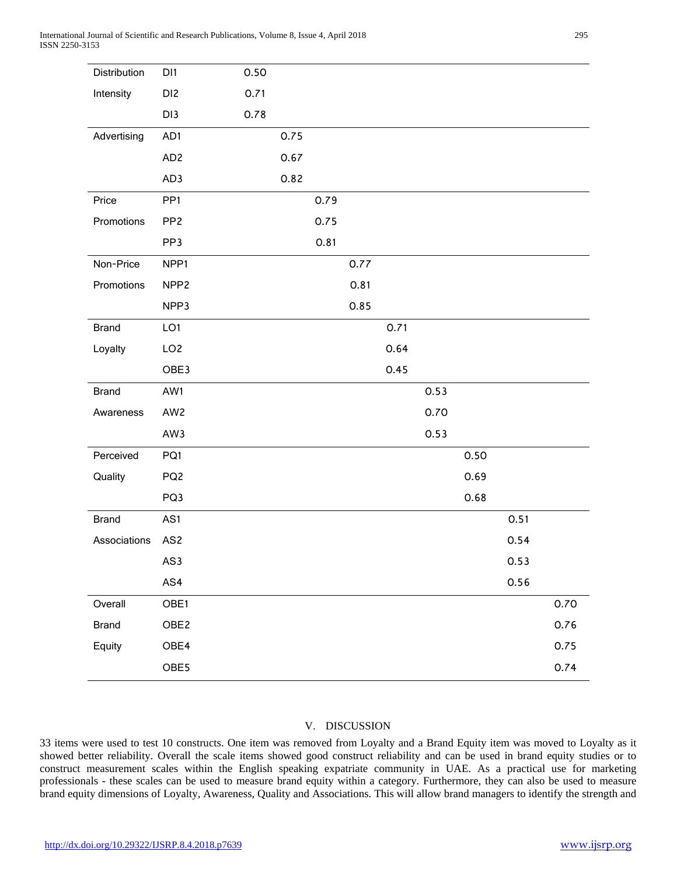| Distribution | DI1              | 0.50 |      |      |      |      |      |      |      |      |
|--------------|------------------|------|------|------|------|------|------|------|------|------|
| Intensity    | DI <sub>2</sub>  | 0.71 |      |      |      |      |      |      |      |      |
|              | DI3              | 0.78 |      |      |      |      |      |      |      |      |
| Advertising  | AD1              |      | 0.75 |      |      |      |      |      |      |      |
|              | AD <sub>2</sub>  |      | 0.67 |      |      |      |      |      |      |      |
|              | AD3              |      | 0.82 |      |      |      |      |      |      |      |
| Price        | PP <sub>1</sub>  |      |      | 0.79 |      |      |      |      |      |      |
| Promotions   | PP <sub>2</sub>  |      |      | 0.75 |      |      |      |      |      |      |
|              | PP3              |      |      | 0.81 |      |      |      |      |      |      |
| Non-Price    | NPP1             |      |      |      | 0.77 |      |      |      |      |      |
| Promotions   | NPP <sub>2</sub> |      |      |      | 0.81 |      |      |      |      |      |
|              | NPP3             |      |      |      | 0.85 |      |      |      |      |      |
| <b>Brand</b> | LO1              |      |      |      |      | 0.71 |      |      |      |      |
| Loyalty      | LO <sub>2</sub>  |      |      |      |      | 0.64 |      |      |      |      |
|              | OBE3             |      |      |      |      | 0.45 |      |      |      |      |
| <b>Brand</b> | AW1              |      |      |      |      |      | 0.53 |      |      |      |
| Awareness    | AW2              |      |      |      |      |      | 0.70 |      |      |      |
|              | AW3              |      |      |      |      |      | 0.53 |      |      |      |
| Perceived    | PQ1              |      |      |      |      |      |      | 0.50 |      |      |
| Quality      | PQ <sub>2</sub>  |      |      |      |      |      |      | 0.69 |      |      |
|              | PQ3              |      |      |      |      |      |      | 0.68 |      |      |
| <b>Brand</b> | AS1              |      |      |      |      |      |      |      | 0.51 |      |
| Associations | AS2              |      |      |      |      |      |      |      | 0.54 |      |
|              | AS3              |      |      |      |      |      |      |      | 0.53 |      |
|              | AS4              |      |      |      |      |      |      |      | 0.56 |      |
| Overall      | OBE1             |      |      |      |      |      |      |      |      | 0.70 |
| <b>Brand</b> | OBE <sub>2</sub> |      |      |      |      |      |      |      |      | 0.76 |
| Equity       | OBE4             |      |      |      |      |      |      |      |      | 0.75 |
|              | OBE5             |      |      |      |      |      |      |      |      | 0.74 |

## V. DISCUSSION

33 items were used to test 10 constructs. One item was removed from Loyalty and a Brand Equity item was moved to Loyalty as it showed better reliability. Overall the scale items showed good construct reliability and can be used in brand equity studies or to construct measurement scales within the English speaking expatriate community in UAE. As a practical use for marketing professionals - these scales can be used to measure brand equity within a category. Furthermore, they can also be used to measure brand equity dimensions of Loyalty, Awareness, Quality and Associations. This will allow brand managers to identify the strength and